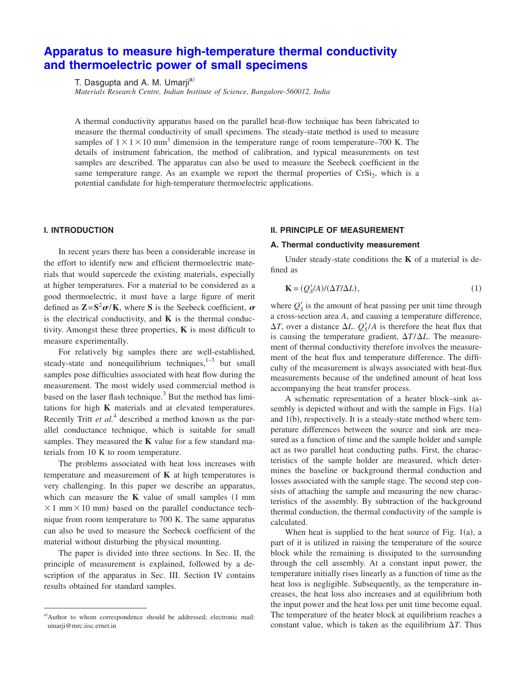# **[Apparatus to measure high-temperature thermal conductivity](http://dx.doi.org/10.1063/1.2018547) [and thermoelectric power of small specimens](http://dx.doi.org/10.1063/1.2018547)**

T. Dasgupta and A. M. Umarji<sup>a)</sup>

*Materials Research Centre, Indian Institute of Science, Bangalore-560012, India*

A thermal conductivity apparatus based on the parallel heat-flow technique has been fabricated to measure the thermal conductivity of small specimens. The steady-state method is used to measure samples of  $1 \times 1 \times 10$  mm<sup>3</sup> dimension in the temperature range of room temperature–700 K. The details of instrument fabrication, the method of calibration, and typical measurements on test samples are described. The apparatus can also be used to measure the Seebeck coefficient in the same temperature range. As an example we report the thermal properties of  $CrSi<sub>2</sub>$ , which is a potential candidate for [high-temper](http://dx.doi.org/10.1063/1.2018547)ature thermoelectric applications.

## **I. INTRODUCTION**

In recent years there has been a considerable increase in the effort to identify new and efficient thermoelectric materials that would supercede the existing materials, especially at higher temperatures. For a material to be considered as a good thermoelectric, it must have a large figure of merit defined as  $\mathbf{Z} = \mathbf{S}^2 \boldsymbol{\sigma} / \mathbf{K}$ , where **S** is the Seebeck coefficient,  $\boldsymbol{\sigma}$ is the electrical conductivity, and  $\bf{K}$  is the thermal conductivity. Amongst these three properties, **K** is most difficult to measure experimentally.

For relatively big samples there are well-established, steady-state and nonequilibrium techniques, $1-3$  but small samples pose difficulties associated with heat flow during the measurement. The most widely used commercial method is based on the laser flash technique. $3$  But the method has limitations for high **K** materials and at elevated temperatures. Recently Tritt *et al.*<sup>4</sup> described a method known as the parallel conductance technique, which is suitable for small samples. They measured the **K** value for a few standard materials from 10 K to room temperature.

The problems associated with heat loss increases with temperature and measurement of **K** at high temperatures is very challenging. In this paper we describe an apparatus, which can measure the  $K$  value of small samples  $(1 \text{ mm})$  $\times$  1 mm $\times$  10 mm) based on the parallel conductance technique from room temperature to 700 K. The same apparatus can also be used to measure the Seebeck coefficient of the material without disturbing the physical mounting.

The paper is divided into three sections. In Sec. II, the principle of measurement is explained, followed by a description of the apparatus in Sec. III. Section IV contains results obtained for standard samples.

# **II. PRINCIPLE OF MEASUREMENT**

## **A. Thermal conductivity measurement**

Under steady-state conditions the **K** of a material is defined as

$$
\mathbf{K} = (Q'_{\mathcal{S}}/A)/(\Delta T/\Delta L),\tag{1}
$$

where  $Q'_{\mathcal{S}}$  is the amount of heat passing per unit time through a cross-section area *A*, and causing a temperature difference,  $\Delta T$ , over a distance  $\Delta L$ .  $Q'_{S}/A$  is therefore the heat flux that is causing the temperature gradient,  $\Delta T / \Delta L$ . The measurement of thermal conductivity therefore involves the measurement of the heat flux and temperature difference. The difficulty of the measurement is always associated with heat-flux measurements because of the undefined amount of heat loss accompanying the heat transfer process.

A schematic representation of a heater block–sink assembly is depicted without and with the sample in Figs.  $1(a)$ and 1(b), respectively. It is a steady-state method where temperature differences between the source and sink are measured as a function of time and the sample holder and sample act as two parallel heat conducting paths. First, the characteristics of the sample holder are measured, which determines the baseline or background thermal conduction and losses associated with the sample stage. The second step consists of attaching the sample and measuring the new characteristics of the assembly. By subtraction of the background thermal conduction, the thermal conductivity of the sample is calculated.

When heat is supplied to the heat source of Fig.  $1(a)$ , a part of it is utilized in raising the temperature of the source block while the remaining is dissipated to the surrounding through the cell assembly. At a constant input power, the temperature initially rises linearly as a function of time as the heat loss is negligible. Subsequently, as the temperature increases, the heat loss also increases and at equilibrium both the input power and the heat loss per unit time become equal. The temperature of the heater block at equilibrium reaches a constant value, which is taken as the equilibrium  $\Delta T$ . Thus

a)Author to whom correspondence should be addressed; electronic mail: umarji@mrc.iisc.ernet.in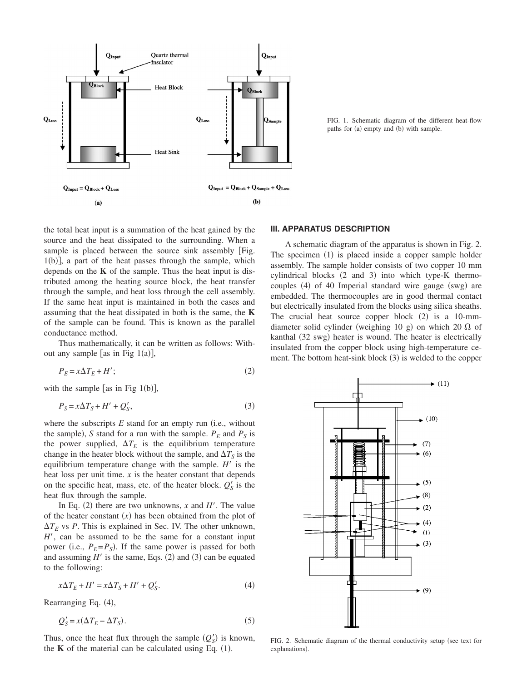

FIG. 1. Schematic diagram of the different heat-flow paths for (a) empty and (b) with sample.

the total heat input is a summation of the heat gained by the source and the heat dissipated to the surrounding. When a sample is placed between the source sink assembly [Fig.  $1(b)$ ], a part of the heat passes through the sample, which depends on the **K** of the sample. Thus the heat input is distributed among the heating source block, the heat transfer through the sample, and heat loss through the cell assembly. If the same heat input is maintained in both the cases and assuming that the heat dissipated in both is the same, the **K** of the sample can be found. This is known as the parallel conductance method.

Thus mathematically, it can be written as follows: Without any sample [as in Fig  $1(a)$ ],

$$
P_E = x\Delta T_E + H';\tag{2}
$$

with the sample [as in Fig  $1(b)$ ],

$$
P_S = x\Delta T_S + H' + Q'_S,\tag{3}
$$

where the subscripts  $E$  stand for an empty run (i.e., without the sample), *S* stand for a run with the sample.  $P_E$  and  $P_S$  is the power supplied,  $\Delta T_E$  is the equilibrium temperature change in the heater block without the sample, and  $\Delta T_S$  is the equilibrium temperature change with the sample.  $H'$  is the heat loss per unit time. *x* is the heater constant that depends on the specific heat, mass, etc. of the heater block.  $Q'_{S}$  is the heat flux through the sample.

In Eq. (2) there are two unknowns,  $x$  and  $H'$ . The value of the heater constant  $(x)$  has been obtained from the plot of  $\Delta T_E$  vs *P*. This is explained in Sec. IV. The other unknown, *H*, can be assumed to be the same for a constant input power (i.e.,  $P_E = P_S$ ). If the same power is passed for both and assuming  $H'$  is the same, Eqs. (2) and (3) can be equated to the following:

$$
x\Delta T_E + H' = x\Delta T_S + H' + Q'_S.
$$
\n<sup>(4)</sup>

Rearranging Eq. (4),

$$
Q'_{S} = x(\Delta T_{E} - \Delta T_{S}).
$$
\n<sup>(5)</sup>

Thus, once the heat flux through the sample  $(Q'_S)$  is known, the  $K$  of the material can be calculated using Eq.  $(1)$ .

## **III. APPARATUS DESCRIPTION**

A schematic diagram of the apparatus is shown in Fig. 2. The specimen (1) is placed inside a copper sample holder assembly. The sample holder consists of two copper 10 mm cylindrical blocks (2 and 3) into which type-K thermocouples (4) of 40 Imperial standard wire gauge (swg) are embedded. The thermocouples are in good thermal contact but electrically insulated from the blocks using silica sheaths. The crucial heat source copper block  $(2)$  is a 10-mmdiameter solid cylinder (weighing 10 g) on which 20  $\Omega$  of kanthal (32 swg) heater is wound. The heater is electrically insulated from the copper block using high-temperature cement. The bottom heat-sink block (3) is welded to the copper



FIG. 2. Schematic diagram of the thermal conductivity setup (see text for explanations).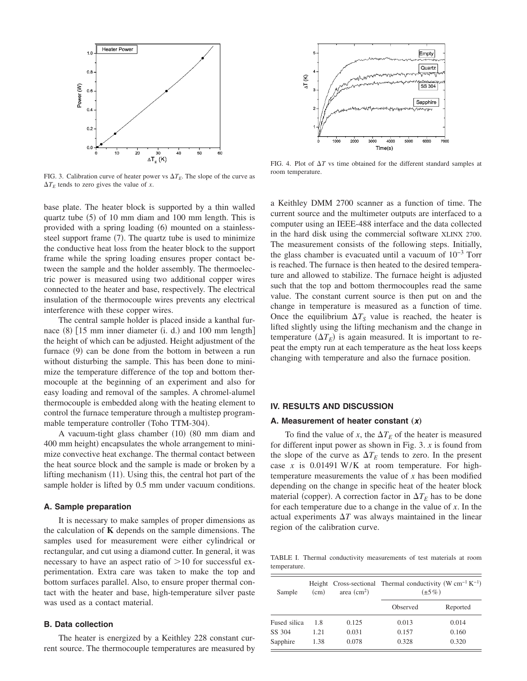

FIG. 3. Calibration curve of heater power vs  $\Delta T_E$ . The slope of the curve as  $\Delta T_E$  tends to zero gives the value of *x*.

base plate. The heater block is supported by a thin walled quartz tube (5) of 10 mm diam and 100 mm length. This is provided with a spring loading (6) mounted on a stainlesssteel support frame (7). The quartz tube is used to minimize the conductive heat loss from the heater block to the support frame while the spring loading ensures proper contact between the sample and the holder assembly. The thermoelectric power is measured using two additional copper wires connected to the heater and base, respectively. The electrical insulation of the thermocouple wires prevents any electrical interference with these copper wires.

The central sample holder is placed inside a kanthal furnace (8) [15 mm inner diameter (i. d.) and 100 mm length] the height of which can be adjusted. Height adjustment of the furnace (9) can be done from the bottom in between a run without disturbing the sample. This has been done to minimize the temperature difference of the top and bottom thermocouple at the beginning of an experiment and also for easy loading and removal of the samples. A chromel-alumel thermocouple is embedded along with the heating element to control the furnace temperature through a multistep programmable temperature controller (Toho TTM-304).

A vacuum-tight glass chamber (10) (80 mm diam and 400 mm height) encapsulates the whole arrangement to minimize convective heat exchange. The thermal contact between the heat source block and the sample is made or broken by a lifting mechanism (11). Using this, the central hot part of the sample holder is lifted by 0.5 mm under vacuum conditions.

# **A. Sample preparation**

It is necessary to make samples of proper dimensions as the calculation of **K** depends on the sample dimensions. The samples used for measurement were either cylindrical or rectangular, and cut using a diamond cutter. In general, it was necessary to have an aspect ratio of  $>10$  for successful experimentation. Extra care was taken to make the top and bottom surfaces parallel. Also, to ensure proper thermal contact with the heater and base, high-temperature silver paste was used as a contact material.

# **B. Data collection**

The heater is energized by a Keithley 228 constant current source. The thermocouple temperatures are measured by



FIG. 4. Plot of  $\Delta T$  vs time obtained for the different standard samples at room temperature.

a Keithley DMM 2700 scanner as a function of time. The current source and the multimeter outputs are interfaced to a computer using an IEEE-488 interface and the data collected in the hard disk using the commercial software XLINX 2700. The measurement consists of the following steps. Initially, the glass chamber is evacuated until a vacuum of 10−3 Torr is reached. The furnace is then heated to the desired temperature and allowed to stabilize. The furnace height is adjusted such that the top and bottom thermocouples read the same value. The constant current source is then put on and the change in temperature is measured as a function of time. Once the equilibrium  $\Delta T_S$  value is reached, the heater is lifted slightly using the lifting mechanism and the change in temperature  $(\Delta T_E)$  is again measured. It is important to repeat the empty run at each temperature as the heat loss keeps changing with temperature and also the furnace position.

#### **IV. RESULTS AND DISCUSSION**

#### A. Measurement of heater constant (x)

To find the value of *x*, the  $\Delta T_E$  of the heater is measured for different input power as shown in Fig. 3. *x* is found from the slope of the curve as  $\Delta T_E$  tends to zero. In the present case *x* is 0.01491 W/K at room temperature. For hightemperature measurements the value of *x* has been modified depending on the change in specific heat of the heater block material (copper). A correction factor in  $\Delta T_E$  has to be done for each temperature due to a change in the value of *x*. In the actual experiments  $\Delta T$  was always maintained in the linear region of the calibration curve.

TABLE I. Thermal conductivity measurements of test materials at room temperature.

| Sample       | (cm) | area $(cm2)$ | Height Cross-sectional Thermal conductivity (W $cm^{-1} K^{-1}$ )<br>$(\pm 5\%)$ |          |  |
|--------------|------|--------------|----------------------------------------------------------------------------------|----------|--|
|              |      |              | Observed                                                                         | Reported |  |
| Fused silica | 1.8  | 0.125        | 0.013                                                                            | 0.014    |  |
| SS 304       | 1.21 | 0.031        | 0.157                                                                            | 0.160    |  |
| Sapphire     | 1.38 | 0.078        | 0.328                                                                            | 0.320    |  |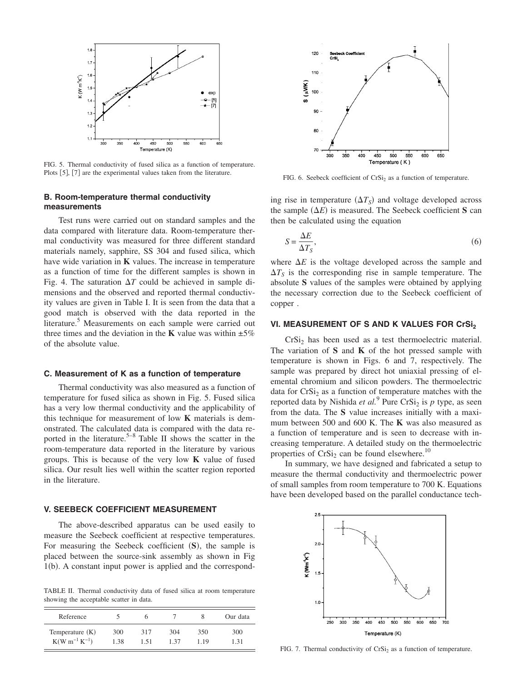

FIG. 5. Thermal conductivity of fused silica as a function of temperature. Plots [5], [7] are the experimental values taken from the literature.

# **B. Room-temperature thermal conductivity measurements**

Test runs were carried out on standard samples and the data compared with literature data. Room-temperature thermal conductivity was measured for three different standard materials namely, sapphire, SS 304 and fused silica, which have wide variation in **K** values. The increase in temperature as a function of time for the different samples is shown in Fig. 4. The saturation  $\Delta T$  could be achieved in sample dimensions and the observed and reported thermal conductivity values are given in Table I. It is seen from the data that a good match is observed with the data reported in the literature.<sup>5</sup> Measurements on each sample were carried out three times and the deviation in the **K** value was within  $\pm 5\%$ of the absolute value.

## **C. Measurement of K as a function of temperature**

Thermal conductivity was also measured as a function of temperature for fused silica as shown in Fig. 5. Fused silica has a very low thermal conductivity and the applicability of this technique for measurement of low **K** materials is demonstrated. The calculated data is compared with the data reported in the literature.<sup>5–8</sup> Table II shows the scatter in the room-temperature data reported in the literature by various groups. This is because of the very low **K** value of fused silica. Our result lies well within the scatter region reported in the literature.

# **V. SEEBECK COEFFICIENT MEASUREMENT**

The above-described apparatus can be used easily to measure the Seebeck coefficient at respective temperatures. For measuring the Seebeck coefficient (S), the sample is placed between the source-sink assembly as shown in Fig 1(b). A constant input power is applied and the correspond-

TABLE II. Thermal conductivity data of fused silica at room temperature showing the acceptable scatter in data.

| Reference            |      |      |      |      | Our data |
|----------------------|------|------|------|------|----------|
| Temperature $(K)$    | 300  | 317  | 304  | 350  | 300      |
| $K(W m^{-1} K^{-1})$ | 1.38 | 1.51 | 1.37 | 1.19 | 1.31     |



FIG. 6. Seebeck coefficient of  $CrSi<sub>2</sub>$  as a function of temperature.

ing rise in temperature  $(\Delta T_S)$  and voltage developed across the sample  $(\Delta E)$  is measured. The Seebeck coefficient S can then be calculated using the equation

$$
S = \frac{\Delta E}{\Delta T_S},\tag{6}
$$

where  $\Delta E$  is the voltage developed across the sample and  $\Delta T_S$  is the corresponding rise in sample temperature. The absolute **S** values of the samples were obtained by applying the necessary correction due to the Seebeck coefficient of copper .

## **VI. MEASUREMENT OF S AND K VALUES FOR CrSI2**

 $CrSi<sub>2</sub>$  has been used as a test thermoelectric material. The variation of **S** and **K** of the hot pressed sample with temperature is shown in Figs. 6 and 7, respectively. The sample was prepared by direct hot uniaxial pressing of elemental chromium and silicon powders. The thermoelectric data for  $CrSi<sub>2</sub>$  as a function of temperature matches with the reported data by Nishida *et al.*<sup>9</sup> Pure CrSi<sub>2</sub> is *p* type, as seen from the data. The **S** value increases initially with a maximum between 500 and 600 K. The **K** was also measured as a function of temperature and is seen to decrease with increasing temperature. A detailed study on the thermoelectric properties of  $CrSi<sub>2</sub>$  can be found elsewhere.<sup>10</sup>

In summary, we have designed and fabricated a setup to measure the thermal conductivity and thermoelectric power of small samples from room temperature to 700 K. Equations have been developed based on the parallel conductance tech-



FIG. 7. Thermal conductivity of  $CrSi<sub>2</sub>$  as a function of temperature.